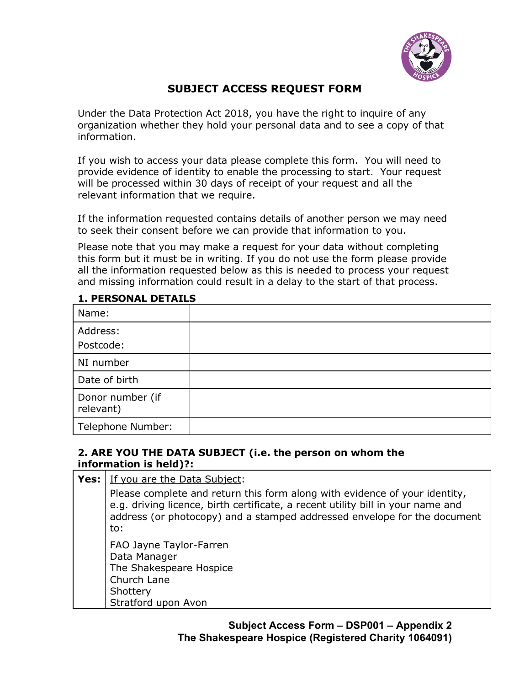

# **SUBJECT ACCESS REQUEST FORM**

Under the Data Protection Act 2018, you have the right to inquire of any organization whether they hold your personal data and to see a copy of that information.

If you wish to access your data please complete this form. You will need to provide evidence of identity to enable the processing to start. Your request will be processed within 30 days of receipt of your request and all the relevant information that we require.

If the information requested contains details of another person we may need to seek their consent before we can provide that information to you.

Please note that you may make a request for your data without completing this form but it must be in writing. If you do not use the form please provide all the information requested below as this is needed to process your request and missing information could result in a delay to the start of that process.

| Name:                         |  |
|-------------------------------|--|
| Address:                      |  |
| Postcode:                     |  |
| NI number                     |  |
| Date of birth                 |  |
| Donor number (if<br>relevant) |  |
| Telephone Number:             |  |

## **1. PERSONAL DETAILS**

### **2. ARE YOU THE DATA SUBJECT (i.e. the person on whom the information is held)?:**

| <b>Yes:</b> If you are the Data Subject:                                                                                                                                                                                                         |  |
|--------------------------------------------------------------------------------------------------------------------------------------------------------------------------------------------------------------------------------------------------|--|
| Please complete and return this form along with evidence of your identity,<br>e.g. driving licence, birth certificate, a recent utility bill in your name and<br>address (or photocopy) and a stamped addressed envelope for the document<br>to: |  |
| FAO Jayne Taylor-Farren<br>Data Manager<br>The Shakespeare Hospice<br>Church Lane<br>Shottery<br>Stratford upon Avon                                                                                                                             |  |

**Subject Access Form – DSP001 – Appendix 2 The Shakespeare Hospice (Registered Charity 1064091)**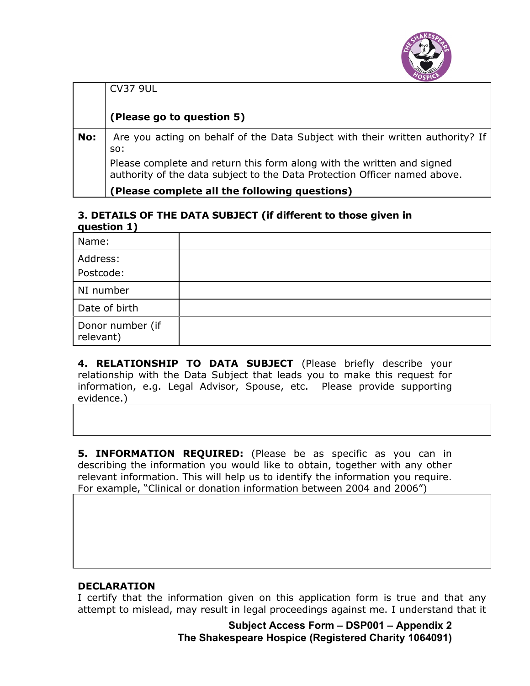

|     | <b>CV37 9UL</b>                                                                                                                                     |
|-----|-----------------------------------------------------------------------------------------------------------------------------------------------------|
|     | (Please go to question 5)                                                                                                                           |
| No: | Are you acting on behalf of the Data Subject with their written authority? If<br>SO:                                                                |
|     | Please complete and return this form along with the written and signed<br>authority of the data subject to the Data Protection Officer named above. |
|     | Please complete all the following questions)                                                                                                        |

#### **3. DETAILS OF THE DATA SUBJECT (if different to those given in question 1)**

| Name:                         |  |
|-------------------------------|--|
| Address:                      |  |
| Postcode:                     |  |
| NI number                     |  |
| Date of birth                 |  |
| Donor number (if<br>relevant) |  |

4. RELATIONSHIP TO DATA SUBJECT (Please briefly describe your relationship with the Data Subject that leads you to make this request for information, e.g. Legal Advisor, Spouse, etc. Please provide supporting evidence.)

**5. INFORMATION REQUIRED:** (Please be as specific as you can in describing the information you would like to obtain, together with any other relevant information. This will help us to identify the information you require. For example, "Clinical or donation information between 2004 and 2006")

### **DECLARATION**

I certify that the information given on this application form is true and that any attempt to mislead, may result in legal proceedings against me. I understand that it

> **Subject Access Form – DSP001 – Appendix 2 The Shakespeare Hospice (Registered Charity 1064091)**